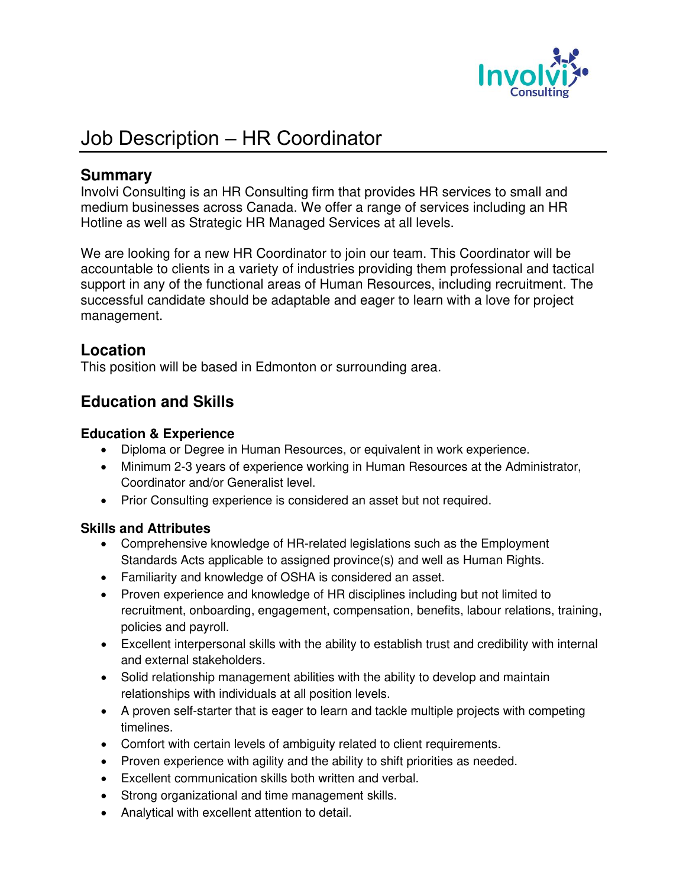

# Job Description – HR Coordinator

## **Summary**

Involvi Consulting is an HR Consulting firm that provides HR services to small and medium businesses across Canada. We offer a range of services including an HR Hotline as well as Strategic HR Managed Services at all levels.

We are looking for a new HR Coordinator to join our team. This Coordinator will be accountable to clients in a variety of industries providing them professional and tactical support in any of the functional areas of Human Resources, including recruitment. The successful candidate should be adaptable and eager to learn with a love for project management.

### **Location**

This position will be based in Edmonton or surrounding area.

## **Education and Skills**

#### **Education & Experience**

- Diploma or Degree in Human Resources, or equivalent in work experience.
- Minimum 2-3 years of experience working in Human Resources at the Administrator, Coordinator and/or Generalist level.
- Prior Consulting experience is considered an asset but not required.

#### **Skills and Attributes**

- Comprehensive knowledge of HR-related legislations such as the Employment Standards Acts applicable to assigned province(s) and well as Human Rights.
- Familiarity and knowledge of OSHA is considered an asset.
- Proven experience and knowledge of HR disciplines including but not limited to recruitment, onboarding, engagement, compensation, benefits, labour relations, training, policies and payroll.
- Excellent interpersonal skills with the ability to establish trust and credibility with internal and external stakeholders.
- Solid relationship management abilities with the ability to develop and maintain relationships with individuals at all position levels.
- A proven self-starter that is eager to learn and tackle multiple projects with competing timelines.
- Comfort with certain levels of ambiguity related to client requirements.
- Proven experience with agility and the ability to shift priorities as needed.
- Excellent communication skills both written and verbal.
- Strong organizational and time management skills.
- Analytical with excellent attention to detail.